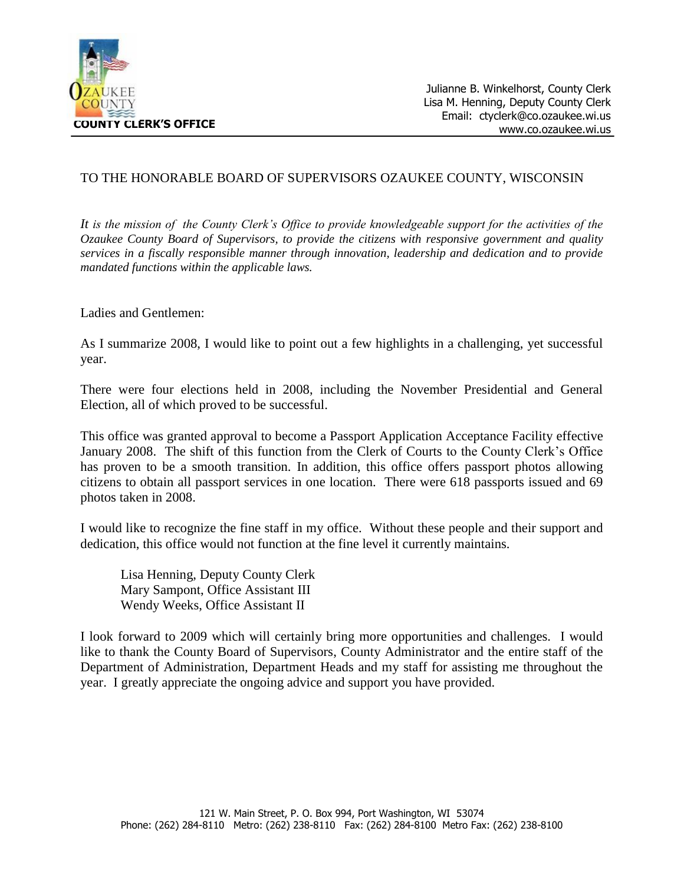

## TO THE HONORABLE BOARD OF SUPERVISORS OZAUKEE COUNTY, WISCONSIN

*It is the mission of the County Clerk's Office to provide knowledgeable support for the activities of the Ozaukee County Board of Supervisors, to provide the citizens with responsive government and quality services in a fiscally responsible manner through innovation, leadership and dedication and to provide mandated functions within the applicable laws.*

Ladies and Gentlemen:

As I summarize 2008, I would like to point out a few highlights in a challenging, yet successful year.

There were four elections held in 2008, including the November Presidential and General Election, all of which proved to be successful.

This office was granted approval to become a Passport Application Acceptance Facility effective January 2008. The shift of this function from the Clerk of Courts to the County Clerk's Office has proven to be a smooth transition. In addition, this office offers passport photos allowing citizens to obtain all passport services in one location. There were 618 passports issued and 69 photos taken in 2008.

I would like to recognize the fine staff in my office. Without these people and their support and dedication, this office would not function at the fine level it currently maintains.

Lisa Henning, Deputy County Clerk Mary Sampont, Office Assistant III Wendy Weeks, Office Assistant II

I look forward to 2009 which will certainly bring more opportunities and challenges. I would like to thank the County Board of Supervisors, County Administrator and the entire staff of the Department of Administration, Department Heads and my staff for assisting me throughout the year. I greatly appreciate the ongoing advice and support you have provided.